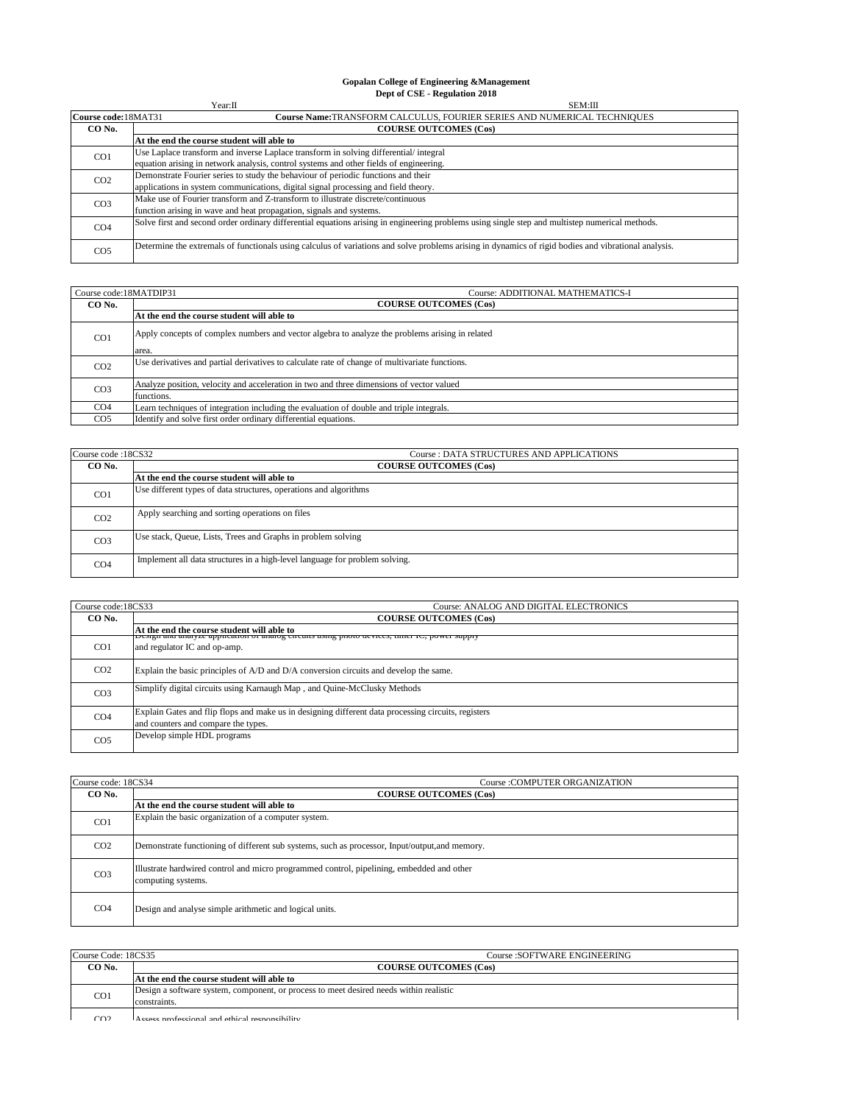## **Gopalan College of Engineering &Management Dept of CSE - Regulation 2018**

|                      | Year:II<br>SEM:III                                                                                                                                   |  |
|----------------------|------------------------------------------------------------------------------------------------------------------------------------------------------|--|
| Course code: 18MAT31 | Course Name: TRANSFORM CALCULUS, FOURIER SERIES AND NUMERICAL TECHNIQUES                                                                             |  |
| CO No.               | <b>COURSE OUTCOMES (Cos)</b>                                                                                                                         |  |
|                      | At the end the course student will able to                                                                                                           |  |
| CO <sub>1</sub>      | Use Laplace transform and inverse Laplace transform in solving differential/integral                                                                 |  |
|                      | equation arising in network analysis, control systems and other fields of engineering.                                                               |  |
| CO <sub>2</sub>      | Demonstrate Fourier series to study the behaviour of periodic functions and their                                                                    |  |
|                      | applications in system communications, digital signal processing and field theory.                                                                   |  |
| CO <sub>3</sub>      | Make use of Fourier transform and Z-transform to illustrate discrete/continuous                                                                      |  |
|                      | function arising in wave and heat propagation, signals and systems.                                                                                  |  |
| CO <sub>4</sub>      | Solve first and second order ordinary differential equations arising in engineering problems using single step and multistep numerical methods.      |  |
| CO <sub>5</sub>      | Determine the extremals of functionals using calculus of variations and solve problems arising in dynamics of rigid bodies and vibrational analysis. |  |

| Course code: 18MATDIP31 | Course: ADDITIONAL MATHEMATICS-I                                                                |
|-------------------------|-------------------------------------------------------------------------------------------------|
| CO No.                  | <b>COURSE OUTCOMES (Cos)</b>                                                                    |
|                         | At the end the course student will able to                                                      |
| CO <sub>1</sub>         | Apply concepts of complex numbers and vector algebra to analyze the problems arising in related |
|                         | area.                                                                                           |
| CO <sub>2</sub>         | Use derivatives and partial derivatives to calculate rate of change of multivariate functions.  |
| CO <sub>3</sub>         | Analyze position, velocity and acceleration in two and three dimensions of vector valued        |
|                         | functions.                                                                                      |
| CO <sub>4</sub>         | Learn techniques of integration including the evaluation of double and triple integrals.        |
| CO <sub>5</sub>         | Identify and solve first order ordinary differential equations.                                 |

| Course code: 18CS32 | <b>Course: DATA STRUCTURES AND APPLICATIONS</b>                             |
|---------------------|-----------------------------------------------------------------------------|
| CO No.              | <b>COURSE OUTCOMES (Cos)</b>                                                |
|                     | At the end the course student will able to                                  |
| CO <sub>1</sub>     | Use different types of data structures, operations and algorithms           |
| CO <sub>2</sub>     | Apply searching and sorting operations on files                             |
| CO <sub>3</sub>     | Use stack, Queue, Lists, Trees and Graphs in problem solving                |
| CO <sub>4</sub>     | Implement all data structures in a high-level language for problem solving. |

| Course code:18CS33 | Course: ANALOG AND DIGITAL ELECTRONICS                                                                                                     |
|--------------------|--------------------------------------------------------------------------------------------------------------------------------------------|
| CO No.             | <b>COURSE OUTCOMES (Cos)</b>                                                                                                               |
|                    | At the end the course student will able to                                                                                                 |
| CO <sub>1</sub>    | Design and analyze application of analog encuris using photo devices, third ic, power supply<br>and regulator IC and op-amp.               |
| CO <sub>2</sub>    | Explain the basic principles of A/D and D/A conversion circuits and develop the same.                                                      |
| CO <sub>3</sub>    | Simplify digital circuits using Karnaugh Map, and Quine-McClusky Methods                                                                   |
| CO <sub>4</sub>    | Explain Gates and flip flops and make us in designing different data processing circuits, registers<br>and counters and compare the types. |
| CO <sub>5</sub>    | Develop simple HDL programs                                                                                                                |

| Course code: 18CS34<br>Course: COMPUTER ORGANIZATION |                                                                                                                 |
|------------------------------------------------------|-----------------------------------------------------------------------------------------------------------------|
| CO No.                                               | <b>COURSE OUTCOMES (Cos)</b>                                                                                    |
|                                                      | At the end the course student will able to                                                                      |
| CO <sub>1</sub>                                      | Explain the basic organization of a computer system.                                                            |
| CO <sub>2</sub>                                      | Demonstrate functioning of different sub systems, such as processor, Input/output, and memory.                  |
| CO <sub>3</sub>                                      | Illustrate hardwired control and micro programmed control, pipelining, embedded and other<br>computing systems. |
| CO <sub>4</sub>                                      | Design and analyse simple arithmetic and logical units.                                                         |

| Course Code: 18CS35 | <b>Course :SOFTWARE ENGINEERING</b>                                                    |
|---------------------|----------------------------------------------------------------------------------------|
| CO No.              | <b>COURSE OUTCOMES (Cos)</b>                                                           |
|                     | At the end the course student will able to                                             |
| CO <sub>1</sub>     | Design a software system, component, or process to meet desired needs within realistic |
|                     | constraints.                                                                           |
| $\cap$              | Accors professional and othical responsibility                                         |

CO2 Assess professional and ethical responsibility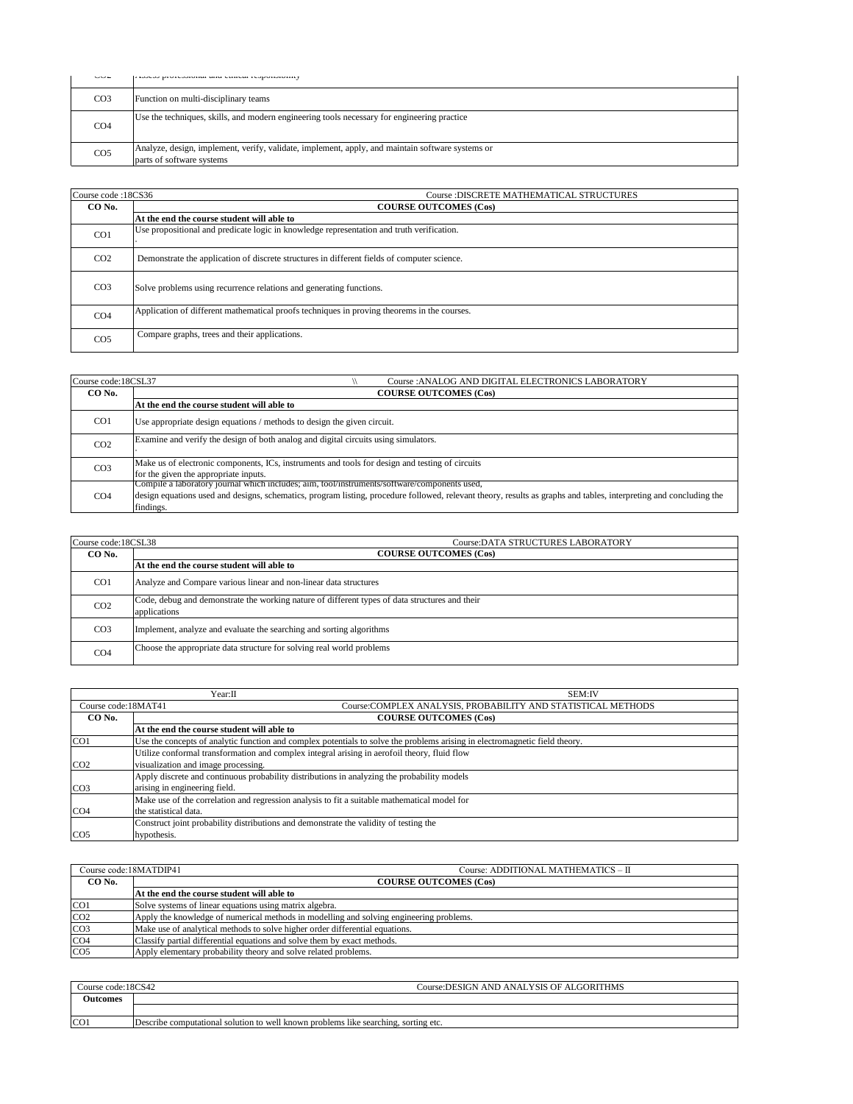| wu              | гхээсээ рготсээгонаг ана сансаг гезронэгонцү                                                                                  |
|-----------------|-------------------------------------------------------------------------------------------------------------------------------|
| CO <sub>3</sub> | Function on multi-disciplinary teams                                                                                          |
| CO <sub>4</sub> | Use the techniques, skills, and modern engineering tools necessary for engineering practice                                   |
| CO <sub>5</sub> | Analyze, design, implement, verify, validate, implement, apply, and maintain software systems or<br>parts of software systems |

| Course code: 18CS36<br>Course: DISCRETE MATHEMATICAL STRUCTURES |                                                                                             |
|-----------------------------------------------------------------|---------------------------------------------------------------------------------------------|
| CO No.                                                          | <b>COURSE OUTCOMES (Cos)</b>                                                                |
|                                                                 | At the end the course student will able to                                                  |
| CO <sub>1</sub>                                                 | Use propositional and predicate logic in knowledge representation and truth verification.   |
| CO <sub>2</sub>                                                 | Demonstrate the application of discrete structures in different fields of computer science. |
| CO <sub>3</sub>                                                 | Solve problems using recurrence relations and generating functions.                         |
| CO <sub>4</sub>                                                 | Application of different mathematical proofs techniques in proving theorems in the courses. |
| CO <sub>5</sub>                                                 | Compare graphs, trees and their applications.                                               |

| Course code:18CSL37<br>Course : ANALOG AND DIGITAL ELECTRONICS LABORATORY |                                                                                                                                                                                                                                                                                 |
|---------------------------------------------------------------------------|---------------------------------------------------------------------------------------------------------------------------------------------------------------------------------------------------------------------------------------------------------------------------------|
| CO No.                                                                    | <b>COURSE OUTCOMES (Cos)</b>                                                                                                                                                                                                                                                    |
|                                                                           | At the end the course student will able to                                                                                                                                                                                                                                      |
| CO <sub>1</sub>                                                           | Use appropriate design equations / methods to design the given circuit.                                                                                                                                                                                                         |
| CO <sub>2</sub>                                                           | Examine and verify the design of both analog and digital circuits using simulators.                                                                                                                                                                                             |
| CO <sub>3</sub>                                                           | Make us of electronic components, ICs, instruments and tools for design and testing of circuits<br>for the given the appropriate inputs.                                                                                                                                        |
| CO <sub>4</sub>                                                           | Compile a laboratory journal which includes; aim, tool/instruments/software/components used,<br>design equations used and designs, schematics, program listing, procedure followed, relevant theory, results as graphs and tables, interpreting and concluding the<br>findings. |

| Course code:18CSL38<br>Course: DATA STRUCTURES LABORATORY |                                                                                                                |
|-----------------------------------------------------------|----------------------------------------------------------------------------------------------------------------|
| CO No.                                                    | <b>COURSE OUTCOMES (Cos)</b>                                                                                   |
|                                                           | At the end the course student will able to                                                                     |
| CO <sub>1</sub>                                           | Analyze and Compare various linear and non-linear data structures                                              |
| CO <sub>2</sub>                                           | Code, debug and demonstrate the working nature of different types of data structures and their<br>applications |
| CO <sub>3</sub>                                           | Implement, analyze and evaluate the searching and sorting algorithms                                           |
| CO <sub>4</sub>                                           | Choose the appropriate data structure for solving real world problems                                          |

|                                                                                      | Year:II<br>SEM:IV                                                                                                           |  |
|--------------------------------------------------------------------------------------|-----------------------------------------------------------------------------------------------------------------------------|--|
| Course:COMPLEX ANALYSIS, PROBABILITY AND STATISTICAL METHODS<br>Course code: 18MAT41 |                                                                                                                             |  |
| CO No.                                                                               | <b>COURSE OUTCOMES (Cos)</b>                                                                                                |  |
|                                                                                      | At the end the course student will able to                                                                                  |  |
| CO <sub>1</sub>                                                                      | Use the concepts of analytic function and complex potentials to solve the problems arising in electromagnetic field theory. |  |
|                                                                                      | Utilize conformal transformation and complex integral arising in aerofoil theory, fluid flow                                |  |
| CO <sub>2</sub>                                                                      | visualization and image processing.                                                                                         |  |
|                                                                                      | Apply discrete and continuous probability distributions in analyzing the probability models                                 |  |
| CO <sub>3</sub>                                                                      | arising in engineering field.                                                                                               |  |
|                                                                                      | Make use of the correlation and regression analysis to fit a suitable mathematical model for                                |  |
| CO <sub>4</sub>                                                                      | the statistical data.                                                                                                       |  |
|                                                                                      | Construct joint probability distributions and demonstrate the validity of testing the                                       |  |
| CO <sub>5</sub>                                                                      | hypothesis.                                                                                                                 |  |

| Course code:18MATDIP41 | Course: ADDITIONAL MATHEMATICS - II                                                     |
|------------------------|-----------------------------------------------------------------------------------------|
| CO No.                 | <b>COURSE OUTCOMES (Cos)</b>                                                            |
|                        | At the end the course student will able to                                              |
| CO <sub>1</sub>        | Solve systems of linear equations using matrix algebra.                                 |
| CO <sub>2</sub>        | Apply the knowledge of numerical methods in modelling and solving engineering problems. |
| CO <sub>3</sub>        | Make use of analytical methods to solve higher order differential equations.            |
| CO <sub>4</sub>        | Classify partial differential equations and solve them by exact methods.                |
| CO <sub>5</sub>        | Apply elementary probability theory and solve related problems.                         |

| Course code:18CS42 | Course: DESIGN AND ANALYSIS OF ALGORITHMS                                           |  |
|--------------------|-------------------------------------------------------------------------------------|--|
| Outcomes           |                                                                                     |  |
|                    |                                                                                     |  |
| CO <sub>1</sub>    | Describe computational solution to well known problems like searching, sorting etc. |  |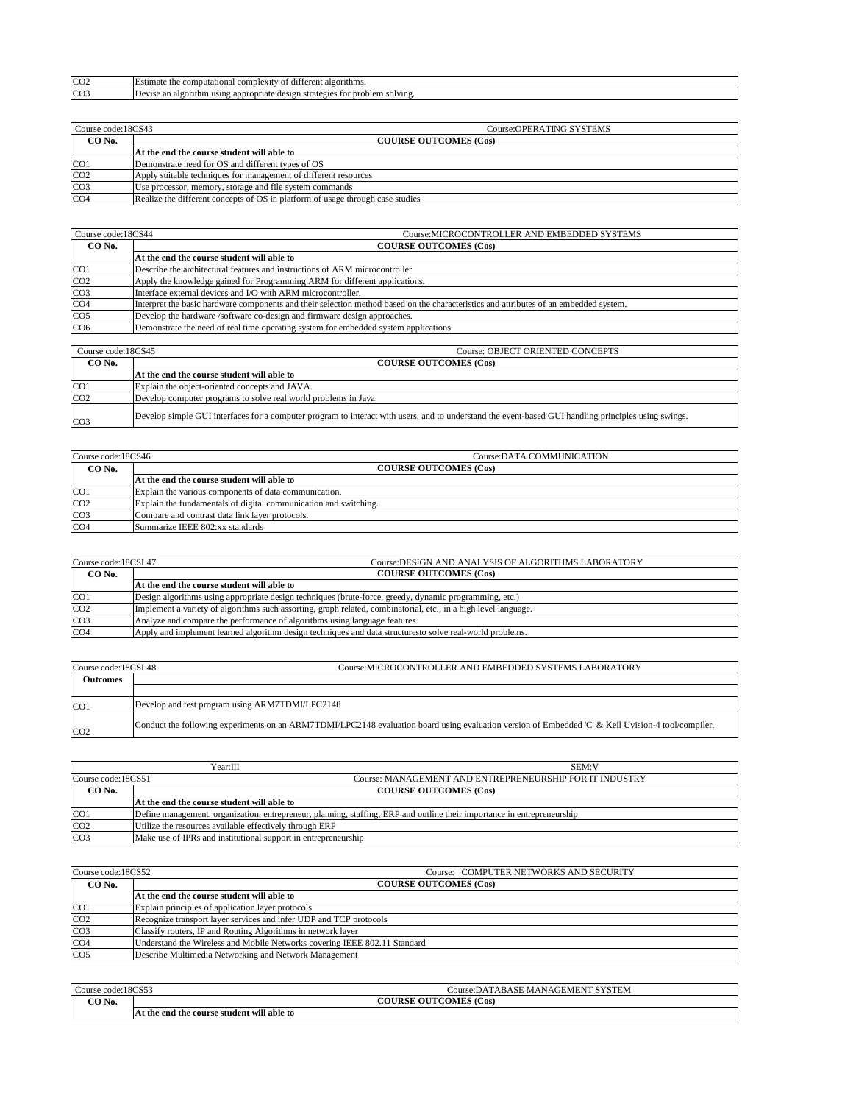| $\sim$<br>ĊÜ. | algorithms.<br>comp<br>utational<br>dit.<br>±stimate the<br>complexity                                                                         |
|---------------|------------------------------------------------------------------------------------------------------------------------------------------------|
| CO3           | lom<br>nroh<br>strategie<br>'olving.<br>$\sim$<br>210 <sup>2</sup><br>$+$ $-$<br>Devis<br>using<br>rıthm<br>appr<br>algor<br>des<br>.uate<br>. |

| Course code:18CS43 | Course:OPERATING SYSTEMS                                                       |  |
|--------------------|--------------------------------------------------------------------------------|--|
| CO No.             | <b>COURSE OUTCOMES (Cos)</b>                                                   |  |
|                    | At the end the course student will able to                                     |  |
| CO1                | Demonstrate need for OS and different types of OS                              |  |
| CO <sub>2</sub>    | Apply suitable techniques for management of different resources                |  |
| CO <sub>3</sub>    | Use processor, memory, storage and file system commands                        |  |
| CO <sub>4</sub>    | Realize the different concepts of OS in platform of usage through case studies |  |

| Course code:18CS44 | Course: MICROCONTROLLER AND EMBEDDED SYSTEMS                                                                                          |  |
|--------------------|---------------------------------------------------------------------------------------------------------------------------------------|--|
| CO No.             | <b>COURSE OUTCOMES (Cos)</b>                                                                                                          |  |
|                    | At the end the course student will able to                                                                                            |  |
| CO <sub>1</sub>    | Describe the architectural features and instructions of ARM microcontroller                                                           |  |
| CO <sub>2</sub>    | Apply the knowledge gained for Programming ARM for different applications.                                                            |  |
| CO <sub>3</sub>    | Interface external devices and I/O with ARM microcontroller.                                                                          |  |
| CO <sub>4</sub>    | Interpret the basic hardware components and their selection method based on the characteristics and attributes of an embedded system. |  |
| CO <sub>5</sub>    | Develop the hardware /software co-design and firmware design approaches.                                                              |  |
| CO <sub>6</sub>    | Demonstrate the need of real time operating system for embedded system applications                                                   |  |

| Course code:18CS45 | <b>Course: OBJECT ORIENTED CONCEPTS</b>                                                                                                              |  |
|--------------------|------------------------------------------------------------------------------------------------------------------------------------------------------|--|
| CO No.             | <b>COURSE OUTCOMES (Cos)</b>                                                                                                                         |  |
|                    | At the end the course student will able to                                                                                                           |  |
| CO <sub>1</sub>    | Explain the object-oriented concepts and JAVA.                                                                                                       |  |
| CO <sub>2</sub>    | Develop computer programs to solve real world problems in Java.                                                                                      |  |
| CO <sub>3</sub>    | Develop simple GUI interfaces for a computer program to interact with users, and to understand the event-based GUI handling principles using swings. |  |

| Course code:18CS46 | Course: DATA COMMUNICATION                                       |  |
|--------------------|------------------------------------------------------------------|--|
| CO No.             | <b>COURSE OUTCOMES (Cos)</b>                                     |  |
|                    | At the end the course student will able to                       |  |
| CO <sub>1</sub>    | Explain the various components of data communication.            |  |
| CO <sub>2</sub>    | Explain the fundamentals of digital communication and switching. |  |
| CO <sub>3</sub>    | Compare and contrast data link laver protocols.                  |  |
| CO <sub>4</sub>    | Summarize IEEE 802.xx standards                                  |  |

| Course code:18CSL47 | Course:DESIGN AND ANALYSIS OF ALGORITHMS LABORATORY                                                             |  |
|---------------------|-----------------------------------------------------------------------------------------------------------------|--|
| CO No.              | <b>COURSE OUTCOMES (Cos)</b>                                                                                    |  |
|                     | At the end the course student will able to                                                                      |  |
| CO1                 | Design algorithms using appropriate design techniques (brute-force, greedy, dynamic programming, etc.)          |  |
| CO <sub>2</sub>     | Implement a variety of algorithms such assorting, graph related, combinatorial, etc., in a high level language. |  |
| CO <sub>3</sub>     | Analyze and compare the performance of algorithms using language features.                                      |  |
| CO <sub>4</sub>     | Apply and implement learned algorithm design techniques and data structures to solve real-world problems.       |  |

| Course code:18CSL48 | Course:MICROCONTROLLER AND EMBEDDED SYSTEMS LABORATORY                                                                                             |  |
|---------------------|----------------------------------------------------------------------------------------------------------------------------------------------------|--|
| <b>Outcomes</b>     |                                                                                                                                                    |  |
|                     |                                                                                                                                                    |  |
| CO <sub>1</sub>     | Develop and test program using ARM7TDMI/LPC2148                                                                                                    |  |
| CO <sub>2</sub>     | Conduct the following experiments on an ARM7TDMI/LPC2148 evaluation board using evaluation version of Embedded 'C' & Keil Uvision-4 tool/compiler. |  |

|                    | Year:III<br><b>SEM:V</b>                                                                                                |  |
|--------------------|-------------------------------------------------------------------------------------------------------------------------|--|
| Course code:18CS51 | Course: MANAGEMENT AND ENTREPRENEURSHIP FOR IT INDUSTRY                                                                 |  |
| CO <sub>No.</sub>  | <b>COURSE OUTCOMES (Cos)</b>                                                                                            |  |
|                    | At the end the course student will able to                                                                              |  |
| CO <sub>1</sub>    | Define management, organization, entrepreneur, planning, staffing, ERP and outline their importance in entrepreneurship |  |
| CO <sub>2</sub>    | Utilize the resources available effectively through ERP                                                                 |  |
| CO <sub>3</sub>    | Make use of IPRs and institutional support in entrepreneurship                                                          |  |

| Course code:18CS52 | Course: COMPUTER NETWORKS AND SECURITY                                    |  |
|--------------------|---------------------------------------------------------------------------|--|
| CO No.             | <b>COURSE OUTCOMES (Cos)</b>                                              |  |
|                    | At the end the course student will able to                                |  |
| CO <sub>1</sub>    | Explain principles of application layer protocols                         |  |
| CO <sub>2</sub>    | Recognize transport layer services and infer UDP and TCP protocols        |  |
| CO <sub>3</sub>    | Classify routers, IP and Routing Algorithms in network layer              |  |
| CO <sub>4</sub>    | Understand the Wireless and Mobile Networks covering IEEE 802.11 Standard |  |
| CO <sub>5</sub>    | Describe Multimedia Networking and Network Management                     |  |

| 00005<br>Course code:18CS55 |                                            | <b>SYSTEM</b><br>"ABASE-<br>. MANAGEME<br>Course:DAT |
|-----------------------------|--------------------------------------------|------------------------------------------------------|
| CO No.                      |                                            | OUTCOMES (Cos)<br><b>COURSE</b>                      |
|                             | ،t the end the course student will able to |                                                      |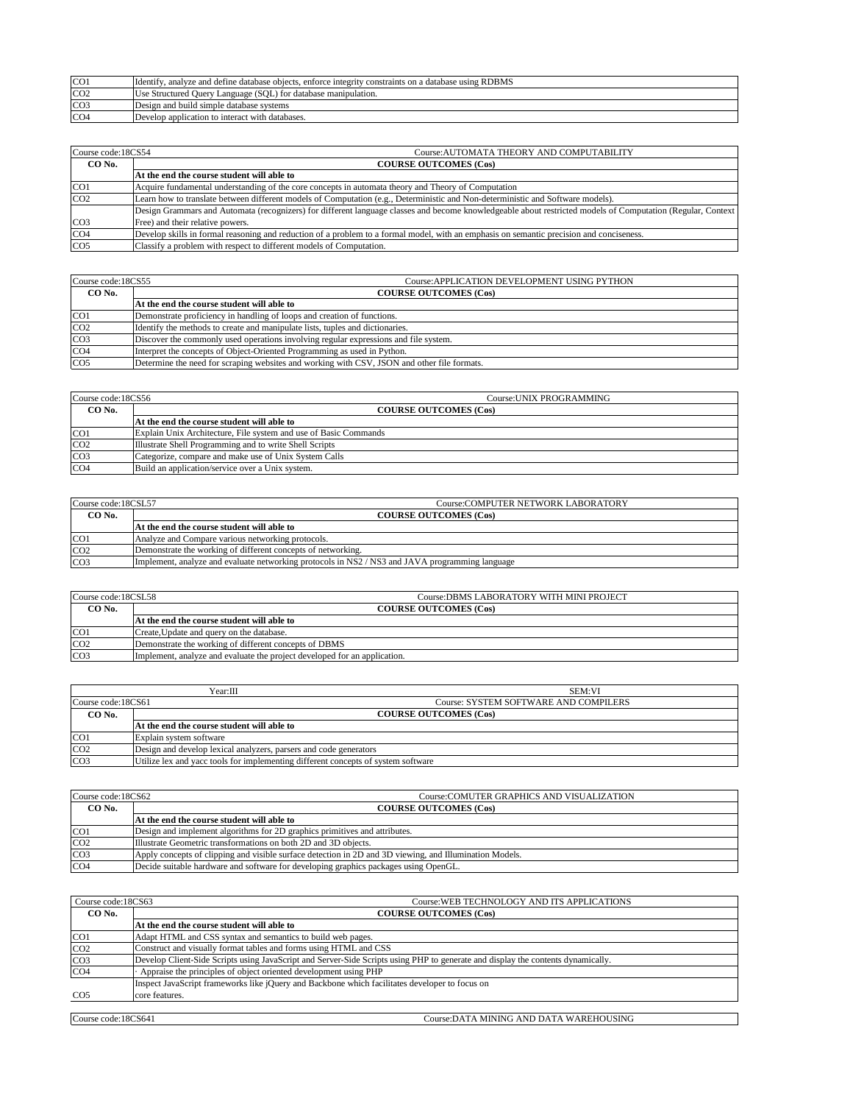| CO <sub>1</sub> | Identify, analyze and define database objects, enforce integrity constraints on a database using RDBMS |  |
|-----------------|--------------------------------------------------------------------------------------------------------|--|
| CO <sub>2</sub> | Use Structured Query Language (SQL) for database manipulation.                                         |  |
| CO <sub>3</sub> | Design and build simple database systems                                                               |  |
| CO <sub>4</sub> | Develop application to interact with databases.                                                        |  |

| Course code:18CS54<br>Course: AUTOMATA THEORY AND COMPUTABILITY |                                                                                                                                                             |  |
|-----------------------------------------------------------------|-------------------------------------------------------------------------------------------------------------------------------------------------------------|--|
| CO No.                                                          | <b>COURSE OUTCOMES (Cos)</b>                                                                                                                                |  |
|                                                                 | At the end the course student will able to                                                                                                                  |  |
| CO <sub>1</sub>                                                 | Acquire fundamental understanding of the core concepts in automata theory and Theory of Computation                                                         |  |
| CO <sub>2</sub>                                                 | Learn how to translate between different models of Computation (e.g., Deterministic and Non-deterministic and Software models).                             |  |
|                                                                 | Design Grammars and Automata (recognizers) for different language classes and become knowledgeable about restricted models of Computation (Regular, Context |  |
| CO <sub>3</sub>                                                 | Free) and their relative powers.                                                                                                                            |  |
| CO <sub>4</sub>                                                 | Develop skills in formal reasoning and reduction of a problem to a formal model, with an emphasis on semantic precision and conciseness.                    |  |
| CO <sub>5</sub>                                                 | Classify a problem with respect to different models of Computation.                                                                                         |  |

| Course code:18CS55 | Course: APPLICATION DEVELOPMENT USING PYTHON                                                |  |
|--------------------|---------------------------------------------------------------------------------------------|--|
| CO No.             | <b>COURSE OUTCOMES (Cos)</b>                                                                |  |
|                    | At the end the course student will able to                                                  |  |
| CO <sub>1</sub>    | Demonstrate proficiency in handling of loops and creation of functions.                     |  |
| CO <sub>2</sub>    | Identify the methods to create and manipulate lists, tuples and dictionaries.               |  |
| CO <sub>3</sub>    | Discover the commonly used operations involving regular expressions and file system.        |  |
| CO <sub>4</sub>    | Interpret the concepts of Object-Oriented Programming as used in Python.                    |  |
| CO <sub>5</sub>    | Determine the need for scraping websites and working with CSV, JSON and other file formats. |  |

| Course code:18CS56<br>Course: UNIX PROGRAMMING |                                                                  |  |
|------------------------------------------------|------------------------------------------------------------------|--|
| CO No.                                         | <b>COURSE OUTCOMES (Cos)</b>                                     |  |
|                                                | At the end the course student will able to                       |  |
| CO <sub>1</sub>                                | Explain Unix Architecture, File system and use of Basic Commands |  |
| CO <sub>2</sub>                                | Illustrate Shell Programming and to write Shell Scripts          |  |
| CO <sub>3</sub>                                | Categorize, compare and make use of Unix System Calls            |  |
| CO <sub>4</sub>                                | Build an application/service over a Unix system.                 |  |

| Course:COMPUTER NETWORK LABORATORY<br>Course code:18CSL57 |                                                                                                 |  |
|-----------------------------------------------------------|-------------------------------------------------------------------------------------------------|--|
| CO No.                                                    | <b>COURSE OUTCOMES (Cos)</b>                                                                    |  |
|                                                           | At the end the course student will able to                                                      |  |
| CO <sub>1</sub>                                           | Analyze and Compare various networking protocols.                                               |  |
| CO <sub>2</sub>                                           | Demonstrate the working of different concepts of networking.                                    |  |
| CO <sub>3</sub>                                           | Implement, analyze and evaluate networking protocols in NS2 / NS3 and JAVA programming language |  |

| Course code:18CSL58<br>Course:DBMS LABORATORY WITH MINI PROJECT |                                                                           |  |
|-----------------------------------------------------------------|---------------------------------------------------------------------------|--|
| CO <sub>No.</sub>                                               | <b>COURSE OUTCOMES (Cos)</b>                                              |  |
|                                                                 | At the end the course student will able to                                |  |
| CO <sub>1</sub>                                                 | Create, Update and query on the database.                                 |  |
| CO <sub>2</sub>                                                 | Demonstrate the working of different concepts of DBMS                     |  |
| CO <sub>3</sub>                                                 | Implement, analyze and evaluate the project developed for an application. |  |

|                    | Year:Ⅲ                                                                            | <b>SEM:VI</b>                         |
|--------------------|-----------------------------------------------------------------------------------|---------------------------------------|
| Course code:18CS61 |                                                                                   | Course: SYSTEM SOFTWARE AND COMPILERS |
| CO <sub>No.</sub>  | <b>COURSE OUTCOMES (Cos)</b>                                                      |                                       |
|                    | At the end the course student will able to                                        |                                       |
| CO <sub>1</sub>    | Explain system software                                                           |                                       |
| CO <sub>2</sub>    | Design and develop lexical analyzers, parsers and code generators                 |                                       |
| CO <sub>3</sub>    | Utilize lex and yacc tools for implementing different concepts of system software |                                       |

| Course code:18CS62 | Course: COMUTER GRAPHICS AND VISUALIZATION                                                              |  |
|--------------------|---------------------------------------------------------------------------------------------------------|--|
| CO No.             | <b>COURSE OUTCOMES (Cos)</b>                                                                            |  |
|                    | At the end the course student will able to                                                              |  |
| CO <sub>1</sub>    | Design and implement algorithms for 2D graphics primitives and attributes.                              |  |
| CO <sub>2</sub>    | Illustrate Geometric transformations on both 2D and 3D objects.                                         |  |
| CO <sub>3</sub>    | Apply concepts of clipping and visible surface detection in 2D and 3D viewing, and Illumination Models. |  |
| CO <sub>4</sub>    | Decide suitable hardware and software for developing graphics packages using OpenGL.                    |  |

| Course code:18CS63<br>Course: WEB TECHNOLOGY AND ITS APPLICATIONS |                                                                                                                                  |  |
|-------------------------------------------------------------------|----------------------------------------------------------------------------------------------------------------------------------|--|
| CO No.                                                            | <b>COURSE OUTCOMES (Cos)</b>                                                                                                     |  |
|                                                                   | At the end the course student will able to                                                                                       |  |
| CO <sub>1</sub>                                                   | Adapt HTML and CSS syntax and semantics to build web pages.                                                                      |  |
| CO <sub>2</sub>                                                   | Construct and visually format tables and forms using HTML and CSS                                                                |  |
| CO <sub>3</sub>                                                   | Develop Client-Side Scripts using JavaScript and Server-Side Scripts using PHP to generate and display the contents dynamically. |  |
| CO <sub>4</sub>                                                   | Appraise the principles of object oriented development using PHP                                                                 |  |
|                                                                   | Inspect JavaScript frameworks like jQuery and Backbone which facilitates developer to focus on                                   |  |
| CO <sub>5</sub>                                                   | core features.                                                                                                                   |  |
|                                                                   |                                                                                                                                  |  |
| Course code:18CS641                                               | Course: DATA MINING AND DATA WAREHOUSING                                                                                         |  |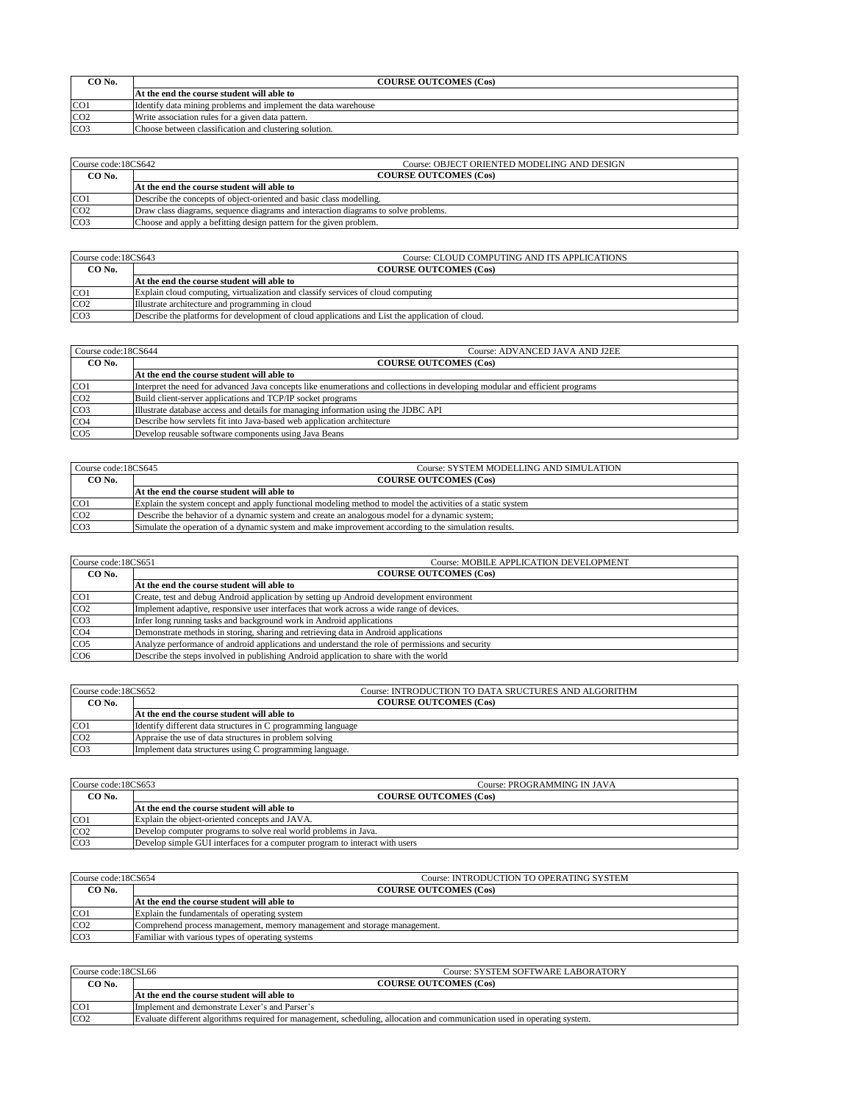| CO No.          | <b>COURSE OUTCOMES (Cos)</b>                                   |  |
|-----------------|----------------------------------------------------------------|--|
|                 | At the end the course student will able to                     |  |
| CO <sub>1</sub> | Identify data mining problems and implement the data warehouse |  |
| CO <sub>2</sub> | Write association rules for a given data pattern.              |  |
| CO <sub>3</sub> | Choose between classification and clustering solution.         |  |

| Course code:18CS642<br>Course: OBJECT ORIENTED MODELING AND DESIGN |                                                                                    |  |
|--------------------------------------------------------------------|------------------------------------------------------------------------------------|--|
| CO No.                                                             | <b>COURSE OUTCOMES (Cos)</b>                                                       |  |
|                                                                    | At the end the course student will able to                                         |  |
| CO <sub>1</sub>                                                    | Describe the concepts of object-oriented and basic class modelling.                |  |
| CO <sub>2</sub>                                                    | Draw class diagrams, sequence diagrams and interaction diagrams to solve problems. |  |
| CO <sub>3</sub>                                                    | Choose and apply a befitting design pattern for the given problem.                 |  |

| Course code:18CS643 | Course: CLOUD COMPUTING AND ITS APPLICATIONS                                                    |  |
|---------------------|-------------------------------------------------------------------------------------------------|--|
| CO No.              | <b>COURSE OUTCOMES (Cos)</b>                                                                    |  |
|                     | At the end the course student will able to                                                      |  |
| CO <sub>1</sub>     | Explain cloud computing, virtualization and classify services of cloud computing                |  |
| CO <sub>2</sub>     | Illustrate architecture and programming in cloud                                                |  |
| CO <sub>3</sub>     | Describe the platforms for development of cloud applications and List the application of cloud. |  |

| Course code:18CS644 | Course: ADVANCED JAVA AND J2EE                                                                                               |  |
|---------------------|------------------------------------------------------------------------------------------------------------------------------|--|
| CO No.              | <b>COURSE OUTCOMES (Cos)</b>                                                                                                 |  |
|                     | At the end the course student will able to                                                                                   |  |
| CO <sub>1</sub>     | Interpret the need for advanced Java concepts like enumerations and collections in developing modular and efficient programs |  |
| CO <sub>2</sub>     | Build client-server applications and TCP/IP socket programs                                                                  |  |
| CO <sub>3</sub>     | Illustrate database access and details for managing information using the JDBC API                                           |  |
| CO <sub>4</sub>     | Describe how servlets fit into Java-based web application architecture                                                       |  |
| CO <sub>5</sub>     | Develop reusable software components using Java Beans                                                                        |  |

| Course code: 18CS645 | Course: SYSTEM MODELLING AND SIMULATION.                                                                   |  |
|----------------------|------------------------------------------------------------------------------------------------------------|--|
| CO No.               | <b>COURSE OUTCOMES (Cos)</b>                                                                               |  |
|                      | At the end the course student will able to                                                                 |  |
| CO <sub>1</sub>      | Explain the system concept and apply functional modeling method to model the activities of a static system |  |
| CO <sub>2</sub>      | Describe the behavior of a dynamic system and create an analogous model for a dynamic system;              |  |
| CO <sub>3</sub>      | Simulate the operation of a dynamic system and make improvement according to the simulation results.       |  |

| Course code:18CS651 | Course: MOBILE APPLICATION DEVELOPMENT                                                          |  |
|---------------------|-------------------------------------------------------------------------------------------------|--|
| CO No.              | <b>COURSE OUTCOMES (Cos)</b>                                                                    |  |
|                     | At the end the course student will able to                                                      |  |
| CO <sub>1</sub>     | Create, test and debug Android application by setting up Android development environment        |  |
| CO <sub>2</sub>     | Implement adaptive, responsive user interfaces that work across a wide range of devices.        |  |
| CO <sub>3</sub>     | Infer long running tasks and background work in Android applications                            |  |
| CO <sub>4</sub>     | Demonstrate methods in storing, sharing and retrieving data in Android applications             |  |
| CO <sub>5</sub>     | Analyze performance of android applications and understand the role of permissions and security |  |
| CO <sub>6</sub>     | Describe the steps involved in publishing Android application to share with the world           |  |

| Course code:18CS652 | Course: INTRODUCTION TO DATA SRUCTURES AND ALGORITHM         |  |
|---------------------|--------------------------------------------------------------|--|
| CO No.              | <b>COURSE OUTCOMES (Cos)</b>                                 |  |
|                     | At the end the course student will able to                   |  |
| CO <sub>1</sub>     | Identify different data structures in C programming language |  |
| CO <sub>2</sub>     | Appraise the use of data structures in problem solving       |  |
| CO <sub>3</sub>     | Implement data structures using C programming language.      |  |

| Course code:18CS653 | Course: PROGRAMMING IN JAVA                                                 |  |
|---------------------|-----------------------------------------------------------------------------|--|
| CO No.              | <b>COURSE OUTCOMES (Cos)</b>                                                |  |
|                     | At the end the course student will able to                                  |  |
| CO <sub>1</sub>     | Explain the object-oriented concepts and JAVA.                              |  |
| CO <sub>2</sub>     | Develop computer programs to solve real world problems in Java.             |  |
| CO <sub>3</sub>     | Develop simple GUI interfaces for a computer program to interact with users |  |

| Course code:18CS654 | Course: INTRODUCTION TO OPERATING SYSTEM                                 |  |
|---------------------|--------------------------------------------------------------------------|--|
| CO No.              | <b>COURSE OUTCOMES (Cos)</b>                                             |  |
|                     | At the end the course student will able to                               |  |
| CO <sub>1</sub>     | Explain the fundamentals of operating system                             |  |
| CO <sub>2</sub>     | Comprehend process management, memory management and storage management. |  |
| CO <sub>3</sub>     | Familiar with various types of operating systems                         |  |

| Course code:18CSL66 | Course: SYSTEM SOFTWARE LABORATORY                                                                                        |
|---------------------|---------------------------------------------------------------------------------------------------------------------------|
| CO No.              | <b>COURSE OUTCOMES (Cos)</b>                                                                                              |
|                     | At the end the course student will able to                                                                                |
| CO <sub>1</sub>     | Implement and demonstrate Lexer's and Parser's                                                                            |
| CO <sub>2</sub>     | Evaluate different algorithms required for management, scheduling, allocation and communication used in operating system. |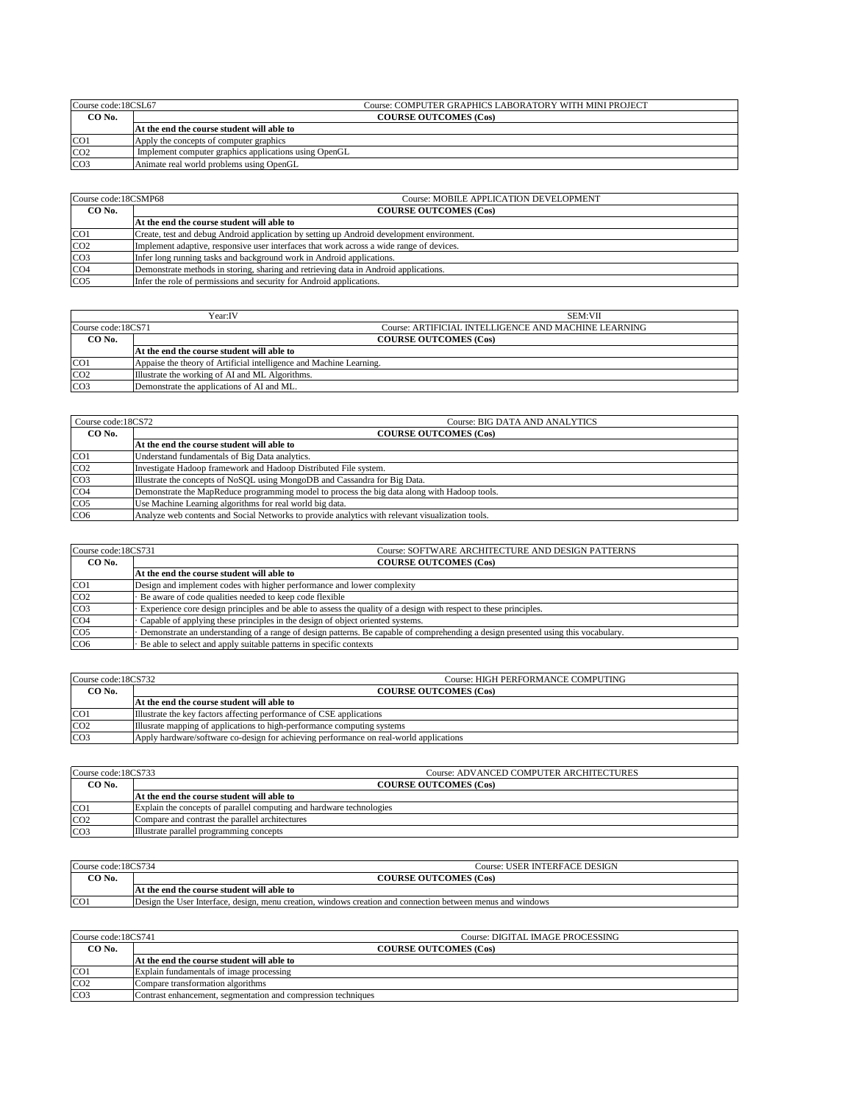| Course code:18CSL67 |                                                       | Course: COMPUTER GRAPHICS LABORATORY WITH MINI PROJECT |
|---------------------|-------------------------------------------------------|--------------------------------------------------------|
| CO <sub>No.</sub>   | <b>COURSE OUTCOMES (Cos)</b>                          |                                                        |
|                     | At the end the course student will able to            |                                                        |
| CO <sub>1</sub>     | Apply the concepts of computer graphics               |                                                        |
| CO <sub>2</sub>     | Implement computer graphics applications using OpenGL |                                                        |
| CO <sub>3</sub>     | Animate real world problems using OpenGL              |                                                        |

| Course code:18CSMP68 | Course: MOBILE APPLICATION DEVELOPMENT                                                    |  |
|----------------------|-------------------------------------------------------------------------------------------|--|
| CO No.               | <b>COURSE OUTCOMES (Cos)</b>                                                              |  |
|                      | At the end the course student will able to                                                |  |
| CO <sub>1</sub>      | Create, test and debug Android application by setting up Android development environment. |  |
| CO <sub>2</sub>      | Implement adaptive, responsive user interfaces that work across a wide range of devices.  |  |
| CO <sub>3</sub>      | Infer long running tasks and background work in Android applications.                     |  |
| CO <sub>4</sub>      | Demonstrate methods in storing, sharing and retrieving data in Android applications.      |  |
| CO <sub>5</sub>      | Infer the role of permissions and security for Android applications.                      |  |

|                    | Year:IV                                                             | <b>SEM:VII</b>                                       |
|--------------------|---------------------------------------------------------------------|------------------------------------------------------|
| Course code:18CS71 |                                                                     | Course: ARTIFICIAL INTELLIGENCE AND MACHINE LEARNING |
| CO <sub>No.</sub>  |                                                                     | <b>COURSE OUTCOMES (Cos)</b>                         |
|                    | At the end the course student will able to                          |                                                      |
| CO <sub>1</sub>    | Appaise the theory of Artificial intelligence and Machine Learning. |                                                      |
| CO <sub>2</sub>    | Illustrate the working of AI and ML Algorithms.                     |                                                      |
| CO <sub>3</sub>    | Demonstrate the applications of AI and ML.                          |                                                      |

| Course code:18CS72      | Course: BIG DATA AND ANALYTICS                                                                   |  |
|-------------------------|--------------------------------------------------------------------------------------------------|--|
| CO No.                  | <b>COURSE OUTCOMES (Cos)</b>                                                                     |  |
|                         | At the end the course student will able to                                                       |  |
| CO <sub>1</sub>         | Understand fundamentals of Big Data analytics.                                                   |  |
| CO <sub>2</sub>         | Investigate Hadoop framework and Hadoop Distributed File system.                                 |  |
| CO <sub>3</sub>         | Illustrate the concepts of NoSQL using MongoDB and Cassandra for Big Data.                       |  |
| CO <sub>4</sub>         | Demonstrate the MapReduce programming model to process the big data along with Hadoop tools.     |  |
| $\overline{\text{CO5}}$ | Use Machine Learning algorithms for real world big data.                                         |  |
| CO <sub>6</sub>         | Analyze web contents and Social Networks to provide analytics with relevant visualization tools. |  |

| Course code:18CS731 | Course: SOFTWARE ARCHITECTURE AND DESIGN PATTERNS                                                                                 |
|---------------------|-----------------------------------------------------------------------------------------------------------------------------------|
| CO No.              | <b>COURSE OUTCOMES (Cos)</b>                                                                                                      |
|                     | At the end the course student will able to                                                                                        |
| CO1                 | Design and implement codes with higher performance and lower complexity                                                           |
| CO <sub>2</sub>     | Be aware of code qualities needed to keep code flexible                                                                           |
| CO <sub>3</sub>     | Experience core design principles and be able to assess the quality of a design with respect to these principles.                 |
| CO <sub>4</sub>     | Capable of applying these principles in the design of object oriented systems.                                                    |
| CO <sub>5</sub>     | Demonstrate an understanding of a range of design patterns. Be capable of comprehending a design presented using this vocabulary. |
| CO <sub>6</sub>     | Be able to select and apply suitable patterns in specific contexts                                                                |

| Course code:18CS732<br>Course: HIGH PERFORMANCE COMPUTING                              |  |
|----------------------------------------------------------------------------------------|--|
| <b>COURSE OUTCOMES (Cos)</b>                                                           |  |
| At the end the course student will able to                                             |  |
| Illustrate the key factors affecting performance of CSE applications                   |  |
| Illusrate mapping of applications to high-performance computing systems                |  |
| Apply hardware/software co-design for achieving performance on real-world applications |  |
|                                                                                        |  |

| Course code:18CS733 | <b>Course: ADVANCED COMPUTER ARCHITECTURES</b>                       |
|---------------------|----------------------------------------------------------------------|
| CO <sub>No.</sub>   | <b>COURSE OUTCOMES (Cos)</b>                                         |
|                     | At the end the course student will able to                           |
| CO <sub>1</sub>     | Explain the concepts of parallel computing and hardware technologies |
| CO <sub>2</sub>     | Compare and contrast the parallel architectures                      |
| CO <sub>3</sub>     | Illustrate parallel programming concepts                             |

| Course code:18CS734 | Course: USER INTERFACE DESIGN                                                                               |
|---------------------|-------------------------------------------------------------------------------------------------------------|
| $CO$ No.            | <b>COURSE OUTCOMES (Cos)</b>                                                                                |
|                     | At the end the course student will able to                                                                  |
| CO <sub>1</sub>     | Design the User Interface, design, menu creation, windows creation and connection between menus and windows |

| Course code:18CS741 | Course: DIGITAL IMAGE PROCESSING                              |
|---------------------|---------------------------------------------------------------|
| CO No.              | <b>COURSE OUTCOMES (Cos)</b>                                  |
|                     | At the end the course student will able to                    |
| CO <sub>1</sub>     | Explain fundamentals of image processing                      |
| CO <sub>2</sub>     | Compare transformation algorithms                             |
| CO <sub>3</sub>     | Contrast enhancement, segmentation and compression techniques |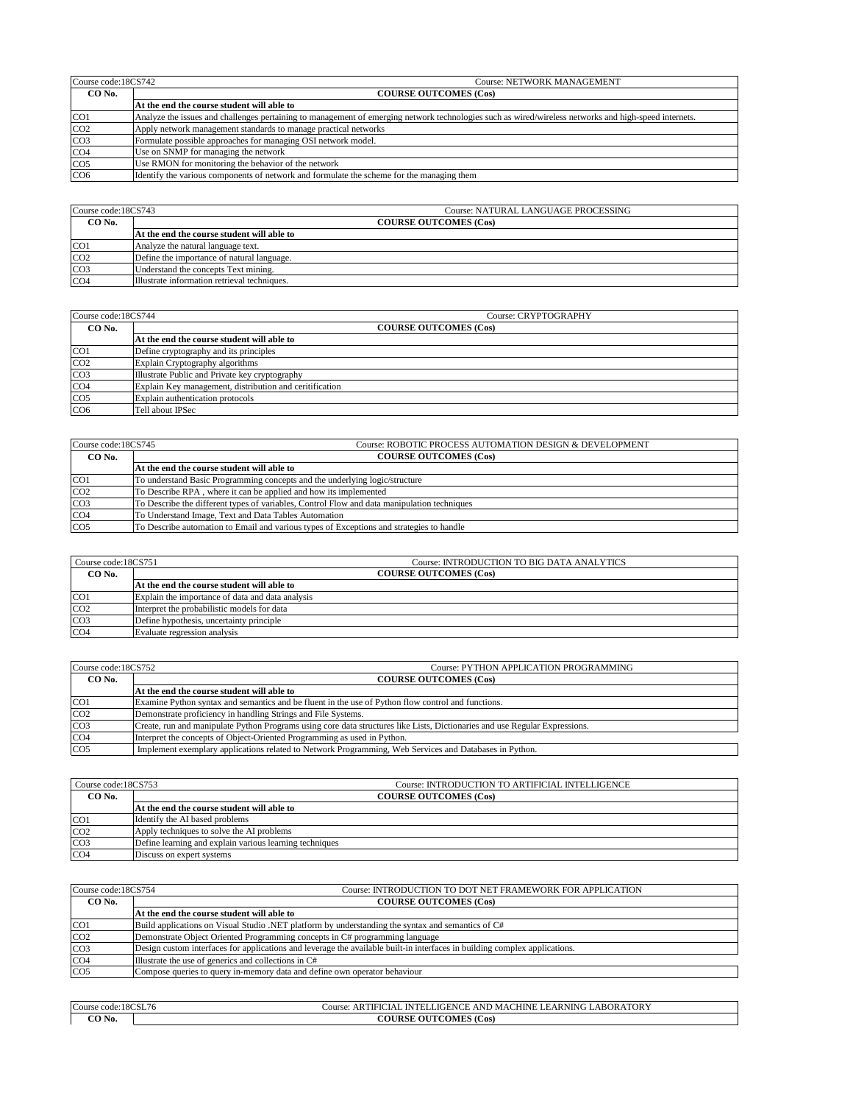| Course code:18CS742<br>Course: NETWORK MANAGEMENT |                                                                                                                                                       |
|---------------------------------------------------|-------------------------------------------------------------------------------------------------------------------------------------------------------|
| CO No.                                            | <b>COURSE OUTCOMES (Cos)</b>                                                                                                                          |
|                                                   | At the end the course student will able to                                                                                                            |
| CO <sub>1</sub>                                   | Analyze the issues and challenges pertaining to management of emerging network technologies such as wired/wireless networks and high-speed internets. |
| CO <sub>2</sub>                                   | Apply network management standards to manage practical networks                                                                                       |
| CO <sub>3</sub>                                   | Formulate possible approaches for managing OSI network model.                                                                                         |
| CO <sub>4</sub>                                   | Use on SNMP for managing the network                                                                                                                  |
| CO <sub>5</sub>                                   | Use RMON for monitoring the behavior of the network                                                                                                   |
| CO <sub>6</sub>                                   | Identify the various components of network and formulate the scheme for the managing them                                                             |

| Course code:18CS743 | <b>Course: NATURAL LANGUAGE PROCESSING</b>   |
|---------------------|----------------------------------------------|
| CO <sub>No.</sub>   | <b>COURSE OUTCOMES (Cos)</b>                 |
|                     | At the end the course student will able to   |
| CO <sub>1</sub>     | Analyze the natural language text.           |
| CO <sub>2</sub>     | Define the importance of natural language.   |
| CO <sub>3</sub>     | Understand the concepts Text mining.         |
| CO <sub>4</sub>     | Illustrate information retrieval techniques. |

| Course code:18CS744 | Course: CRYPTOGRAPHY                                    |  |
|---------------------|---------------------------------------------------------|--|
| CO No.              | <b>COURSE OUTCOMES (Cos)</b>                            |  |
|                     | At the end the course student will able to              |  |
| CO <sub>1</sub>     | Define cryptography and its principles                  |  |
| CO <sub>2</sub>     | Explain Cryptography algorithms                         |  |
| CO <sub>3</sub>     | Illustrate Public and Private key cryptography          |  |
| CO <sub>4</sub>     | Explain Key management, distribution and ceritification |  |
| CO <sub>5</sub>     | Explain authentication protocols                        |  |
| CO <sub>6</sub>     | Tell about IPSec                                        |  |

| Course code:18CS745 | Course: ROBOTIC PROCESS AUTOMATION DESIGN & DEVELOPMENT                                     |
|---------------------|---------------------------------------------------------------------------------------------|
| CO No.              | <b>COURSE OUTCOMES (Cos)</b>                                                                |
|                     | At the end the course student will able to                                                  |
| CO <sub>1</sub>     | To understand Basic Programming concepts and the underlying logic/structure                 |
| CO <sub>2</sub>     | To Describe RPA, where it can be applied and how its implemented                            |
| CO <sub>3</sub>     | To Describe the different types of variables, Control Flow and data manipulation techniques |
| CO <sub>4</sub>     | To Understand Image, Text and Data Tables Automation                                        |
| CO <sub>5</sub>     | To Describe automation to Email and various types of Exceptions and strategies to handle    |

| Course code:18CS751 | Course: INTRODUCTION TO BIG DATA ANALYTICS       |
|---------------------|--------------------------------------------------|
| CO <sub>No.</sub>   | <b>COURSE OUTCOMES (Cos)</b>                     |
|                     | At the end the course student will able to       |
| CO <sub>1</sub>     | Explain the importance of data and data analysis |
| CO <sub>2</sub>     | Interpret the probabilistic models for data      |
| CO <sub>3</sub>     | Define hypothesis, uncertainty principle         |
| CO <sub>4</sub>     | Evaluate regression analysis                     |

| Course code:18CS752 | Course: PYTHON APPLICATION PROGRAMMING                                                                                      |
|---------------------|-----------------------------------------------------------------------------------------------------------------------------|
| CO No.              | <b>COURSE OUTCOMES (Cos)</b>                                                                                                |
|                     | At the end the course student will able to                                                                                  |
| CO <sub>1</sub>     | Examine Python syntax and semantics and be fluent in the use of Python flow control and functions.                          |
| CO <sub>2</sub>     | Demonstrate proficiency in handling Strings and File Systems.                                                               |
| CO <sub>3</sub>     | Create, run and manipulate Python Programs using core data structures like Lists, Dictionaries and use Regular Expressions. |
| CO <sub>4</sub>     | Interpret the concepts of Object-Oriented Programming as used in Python.                                                    |
| CO <sub>5</sub>     | Implement exemplary applications related to Network Programming, Web Services and Databases in Python.                      |

| Course code:18CS753 | Course: INTRODUCTION TO ARTIFICIAL INTELLIGENCE         |
|---------------------|---------------------------------------------------------|
| CO <sub>No.</sub>   | <b>COURSE OUTCOMES (Cos)</b>                            |
|                     | At the end the course student will able to              |
| CO <sub>1</sub>     | Identify the AI based problems                          |
| CO <sub>2</sub>     | Apply techniques to solve the AI problems               |
| CO <sub>3</sub>     | Define learning and explain various learning techniques |
| CO <sub>4</sub>     | Discuss on expert systems                               |

| Course code:18CS754 | Course: INTRODUCTION TO DOT NET FRAMEWORK FOR APPLICATION                                                                  |
|---------------------|----------------------------------------------------------------------------------------------------------------------------|
| CO No.              | <b>COURSE OUTCOMES (Cos)</b>                                                                                               |
|                     | At the end the course student will able to                                                                                 |
| CO <sub>1</sub>     | Build applications on Visual Studio .NET platform by understanding the syntax and semantics of C#                          |
| CO <sub>2</sub>     | Demonstrate Object Oriented Programming concepts in C# programming language                                                |
| CO <sub>3</sub>     | Design custom interfaces for applications and leverage the available built-in interfaces in building complex applications. |
| CO <sub>4</sub>     | Illustrate the use of generics and collections in C#                                                                       |
| CO <sub>5</sub>     | Compose queries to query in-memory data and define own operator behaviour                                                  |
|                     |                                                                                                                            |

| Course<br>code:18CSL/6 | <b>ABORATORY</b><br>J JGENCE<br>$\sim$<br>'HINE<br>гінс<br>` AND MAC<br>ARNING<br>INTEI<br><b>COULES</b><br>`IА. |
|------------------------|------------------------------------------------------------------------------------------------------------------|
| ) No.                  | COUTCOMES (Cos)<br>JURSE                                                                                         |